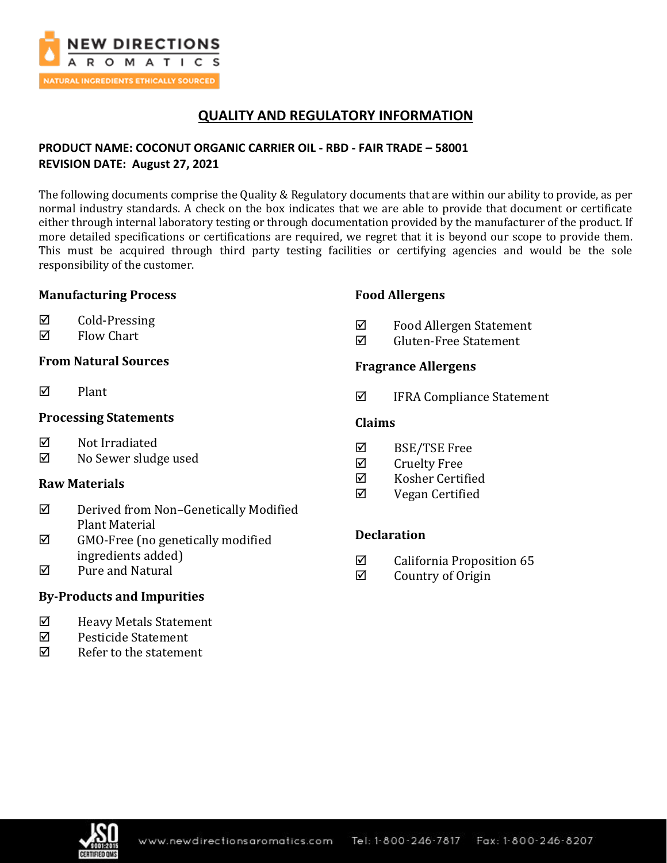

# **QUALITY AND REGULATORY INFORMATION**

## **PRODUCT NAME: COCONUT ORGANIC CARRIER OIL - RBD - FAIR TRADE – 58001 REVISION DATE: August 27, 2021**

The following documents comprise the Quality & Regulatory documents that are within our ability to provide, as per normal industry standards. A check on the box indicates that we are able to provide that document or certificate either through internal laboratory testing or through documentation provided by the manufacturer of the product. If more detailed specifications or certifications are required, we regret that it is beyond our scope to provide them. This must be acquired through third party testing facilities or certifying agencies and would be the sole responsibility of the customer.

## **Manufacturing Process**

- $\boxtimes$  Cold-Pressing
- $\boxtimes$  Flow Chart

### **From Natural Sources**

 $\nabla$  Plant

### **Processing Statements**

- $\boxtimes$  Not Irradiated
- No Sewer sludge used

## **Raw Materials**

- Derived from Non–Genetically Modified Plant Material
- $\boxtimes$  GMO-Free (no genetically modified ingredients added)
- $\boxtimes$  Pure and Natural

## **By-Products and Impurities**

- Heavy Metals Statement
- $\boxtimes$  Pesticide Statement
- $\nabla$  Refer to the statement

### **Food Allergens**

- $\Phi$  Food Allergen Statement
- Gluten-Free Statement

### **Fragrance Allergens**

■ IFRA Compliance Statement

### **Claims**

- $\boxtimes$  BSE/TSE Free
- $\boxtimes$  Cruelty Free
- $\boxtimes$  Kosher Certified
- Vegan Certified

## **Declaration**

- $\boxtimes$  California Proposition 65
- $\boxtimes$  Country of Origin

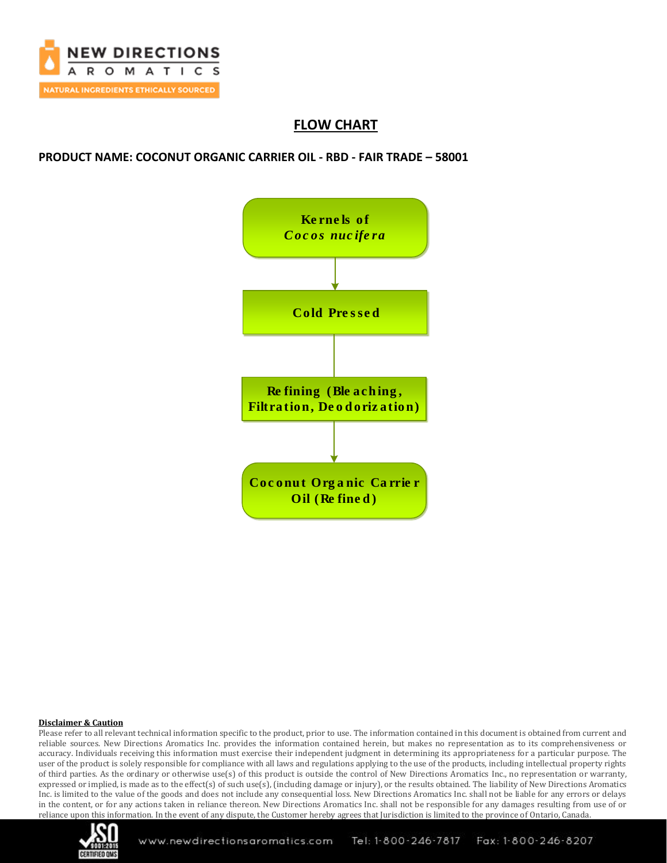

# **FLOW CHART**

**PRODUCT NAME: COCONUT ORGANIC CARRIER OIL - RBD - FAIR TRADE – 58001**



#### **Disclaimer & Caution**

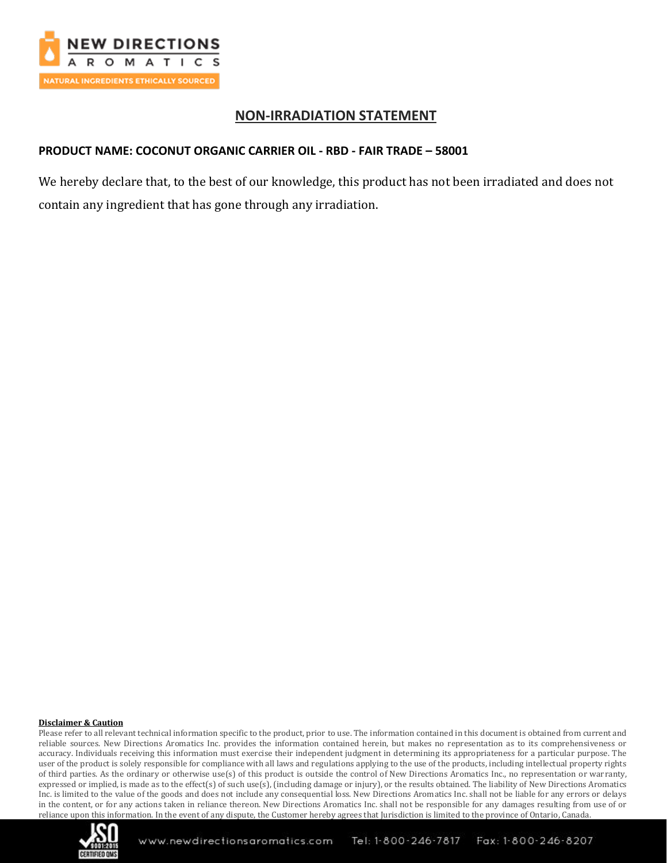

## **NON-IRRADIATION STATEMENT**

### **PRODUCT NAME: COCONUT ORGANIC CARRIER OIL - RBD - FAIR TRADE – 58001**

We hereby declare that, to the best of our knowledge, this product has not been irradiated and does not contain any ingredient that has gone through any irradiation.

#### **Disclaimer & Caution**

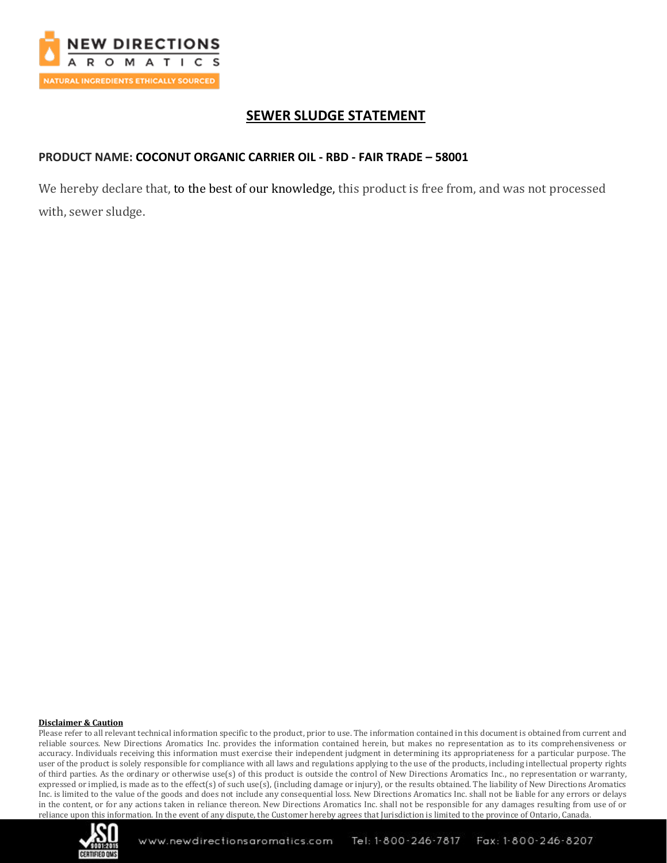

# **SEWER SLUDGE STATEMENT**

### **PRODUCT NAME: COCONUT ORGANIC CARRIER OIL - RBD - FAIR TRADE – 58001**

We hereby declare that, to the best of our knowledge, this product is free from, and was not processed with, sewer sludge.

#### **Disclaimer & Caution**

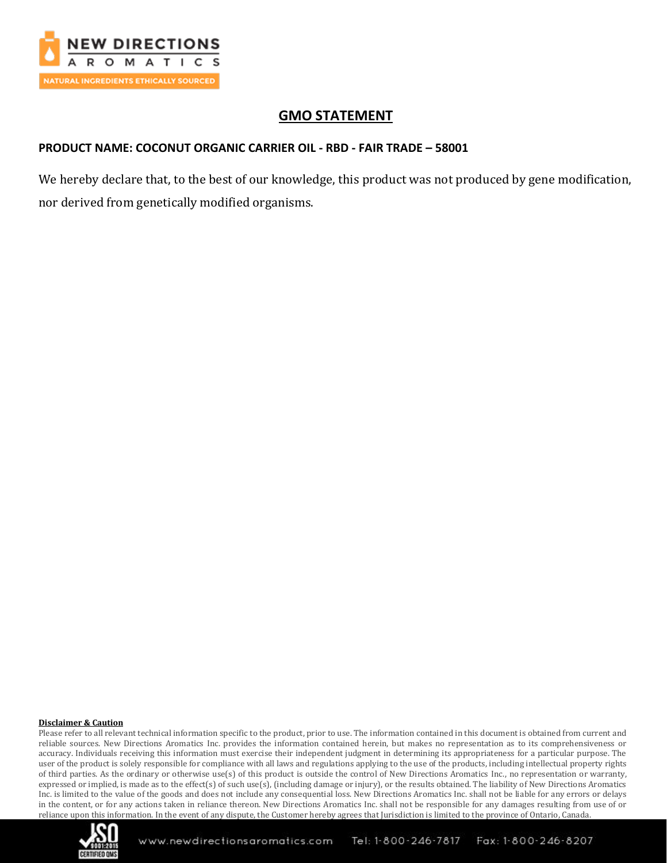

# **GMO STATEMENT**

## **PRODUCT NAME: COCONUT ORGANIC CARRIER OIL - RBD - FAIR TRADE – 58001**

We hereby declare that, to the best of our knowledge, this product was not produced by gene modification, nor derived from genetically modified organisms.

#### **Disclaimer & Caution**

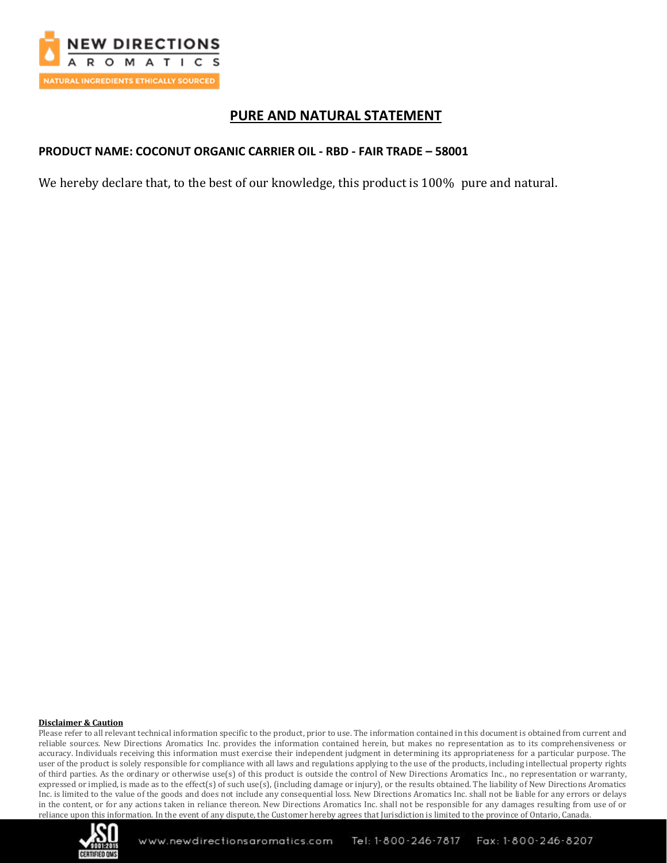

# **PURE AND NATURAL STATEMENT**

### **PRODUCT NAME: COCONUT ORGANIC CARRIER OIL - RBD - FAIR TRADE – 58001**

We hereby declare that, to the best of our knowledge, this product is 100% pure and natural.

#### **Disclaimer & Caution**

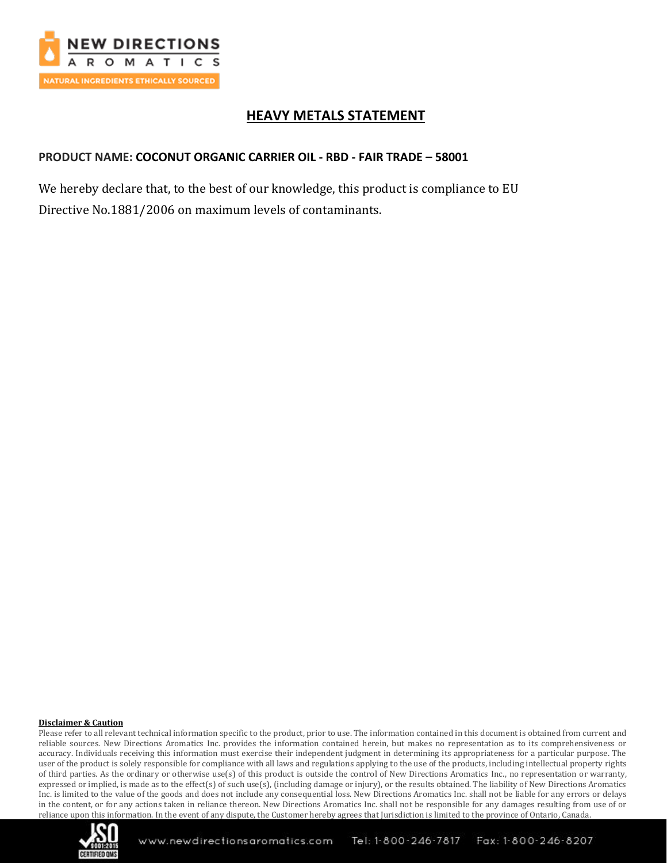

# **HEAVY METALS STATEMENT**

### **PRODUCT NAME: COCONUT ORGANIC CARRIER OIL - RBD - FAIR TRADE – 58001**

We hereby declare that, to the best of our knowledge, this product is compliance to EU Directive No.1881/2006 on maximum levels of contaminants.

#### **Disclaimer & Caution**

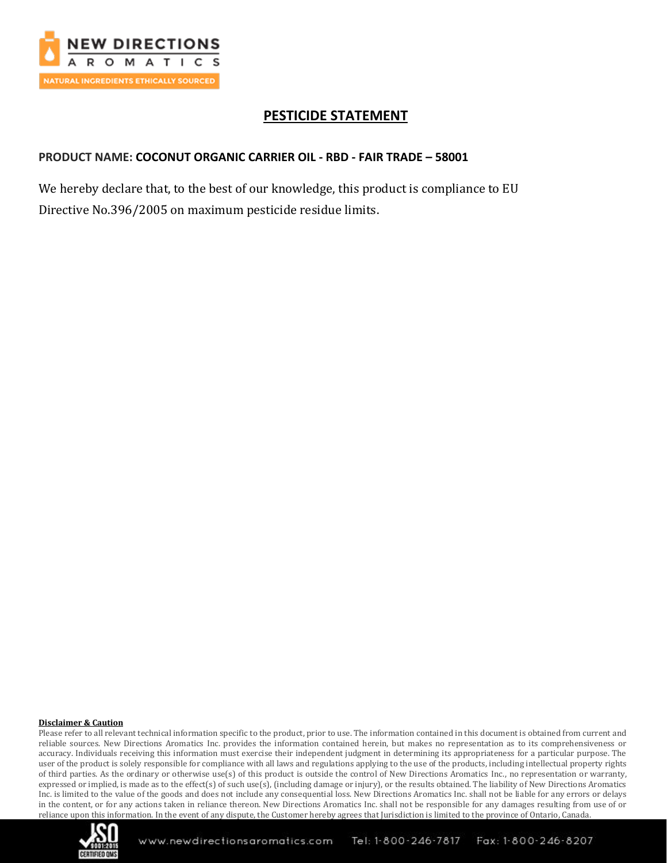

# **PESTICIDE STATEMENT**

### **PRODUCT NAME: COCONUT ORGANIC CARRIER OIL - RBD - FAIR TRADE – 58001**

We hereby declare that, to the best of our knowledge, this product is compliance to EU Directive No.396/2005 on maximum pesticide residue limits.

#### **Disclaimer & Caution**

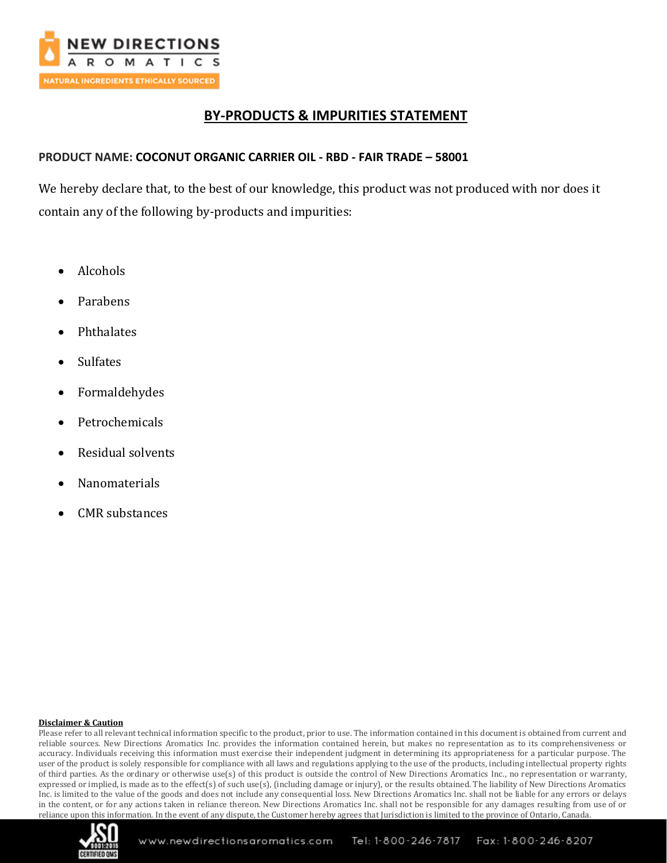

# **BY-PRODUCTS & IMPURITIES STATEMENT**

### **PRODUCT NAME: COCONUT ORGANIC CARRIER OIL - RBD - FAIR TRADE – 58001**

We hereby declare that, to the best of our knowledge, this product was not produced with nor does it contain any of the following by-products and impurities:

- Alcohols
- Parabens
- Phthalates
- Sulfates
- Formaldehydes
- **Petrochemicals**
- Residual solvents
- Nanomaterials
- CMR substances

#### **Disclaimer & Caution**

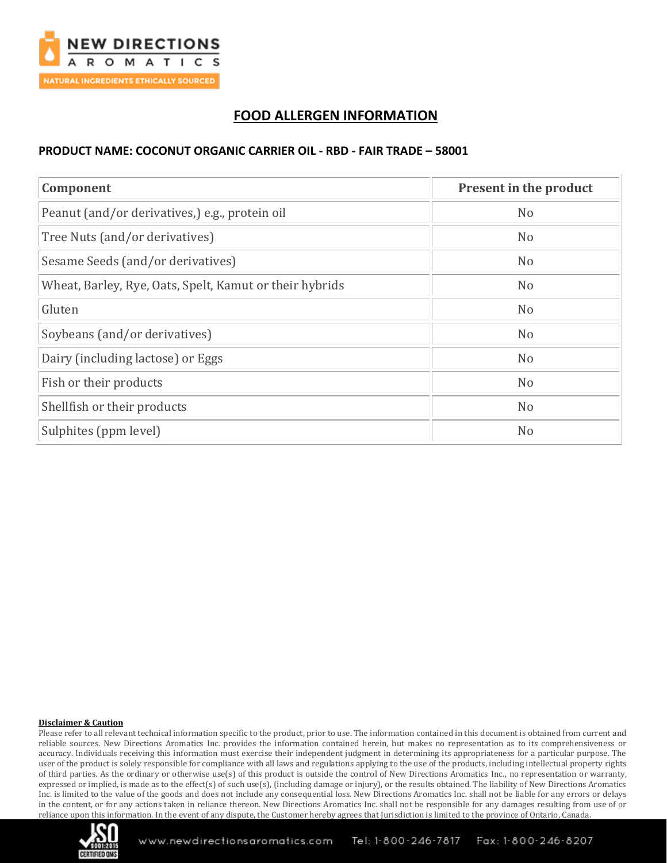

# **FOOD ALLERGEN INFORMATION**

### **PRODUCT NAME: COCONUT ORGANIC CARRIER OIL - RBD - FAIR TRADE – 58001**

| Component                                               | Present in the product |
|---------------------------------------------------------|------------------------|
| Peanut (and/or derivatives,) e.g., protein oil          | N <sub>o</sub>         |
| Tree Nuts (and/or derivatives)                          | N <sub>o</sub>         |
| Sesame Seeds (and/or derivatives)                       | N <sub>o</sub>         |
| Wheat, Barley, Rye, Oats, Spelt, Kamut or their hybrids | N <sub>o</sub>         |
| Gluten                                                  | N <sub>o</sub>         |
| Soybeans (and/or derivatives)                           | N <sub>o</sub>         |
| Dairy (including lactose) or Eggs                       | N <sub>o</sub>         |
| Fish or their products                                  | N <sub>o</sub>         |
| Shellfish or their products                             | N <sub>o</sub>         |
| Sulphites (ppm level)                                   | N <sub>o</sub>         |

#### **Disclaimer & Caution**

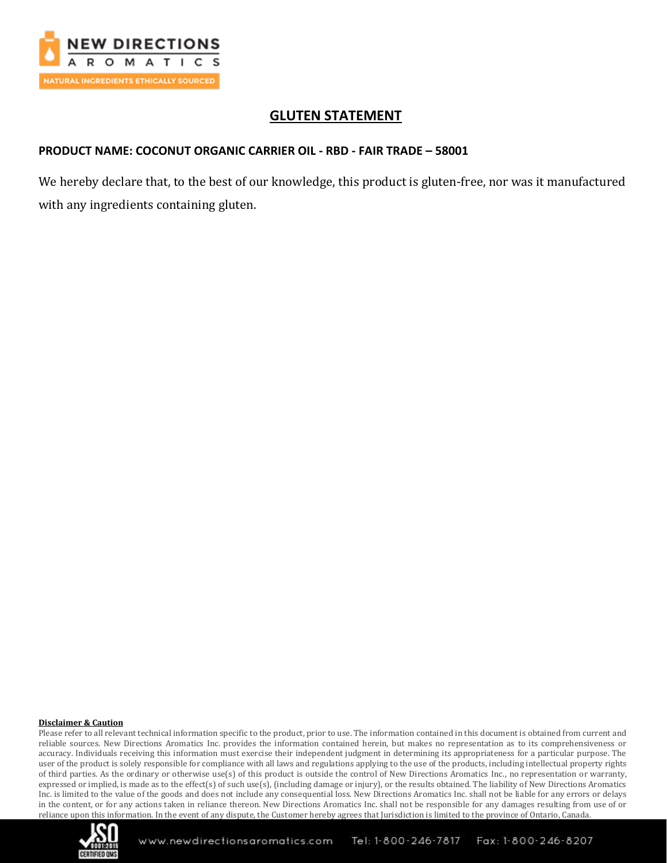

# **GLUTEN STATEMENT**

### **PRODUCT NAME: COCONUT ORGANIC CARRIER OIL - RBD - FAIR TRADE – 58001**

We hereby declare that, to the best of our knowledge, this product is gluten-free, nor was it manufactured with any ingredients containing gluten.

#### **Disclaimer & Caution**

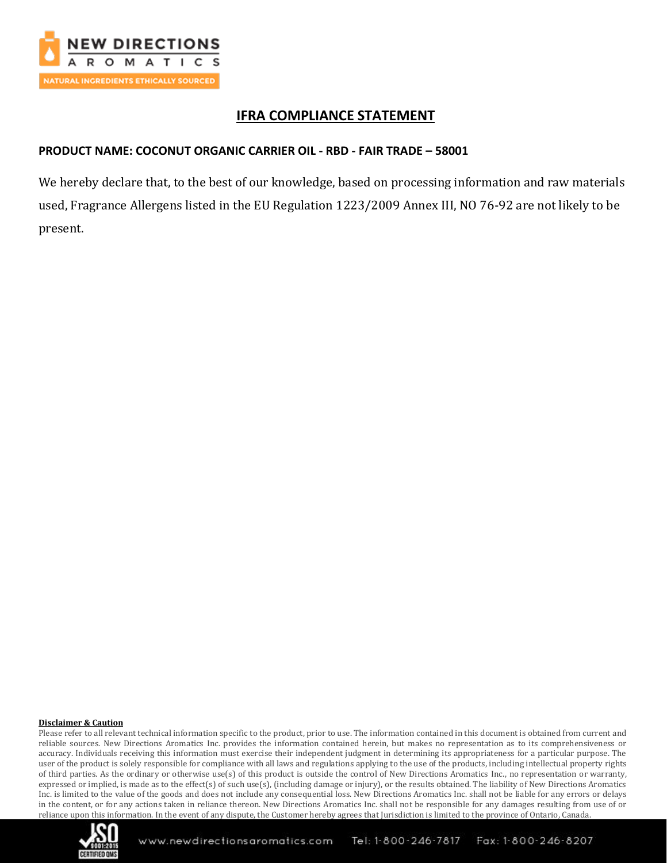

# **IFRA COMPLIANCE STATEMENT**

### **PRODUCT NAME: COCONUT ORGANIC CARRIER OIL - RBD - FAIR TRADE – 58001**

We hereby declare that, to the best of our knowledge, based on processing information and raw materials used, Fragrance Allergens listed in the EU Regulation 1223/2009 Annex III, NO 76-92 are not likely to be present.

#### **Disclaimer & Caution**

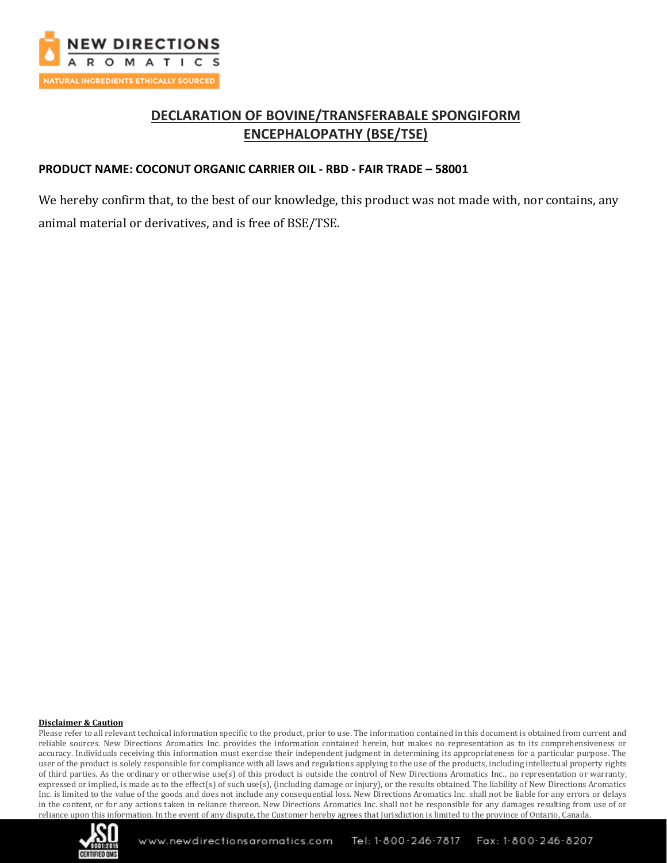

# **DECLARATION OF BOVINE/TRANSFERABALE SPONGIFORM ENCEPHALOPATHY (BSE/TSE)**

### **PRODUCT NAME: COCONUT ORGANIC CARRIER OIL - RBD - FAIR TRADE – 58001**

We hereby confirm that, to the best of our knowledge, this product was not made with, nor contains, any animal material or derivatives, and is free of BSE/TSE.

#### **Disclaimer & Caution**

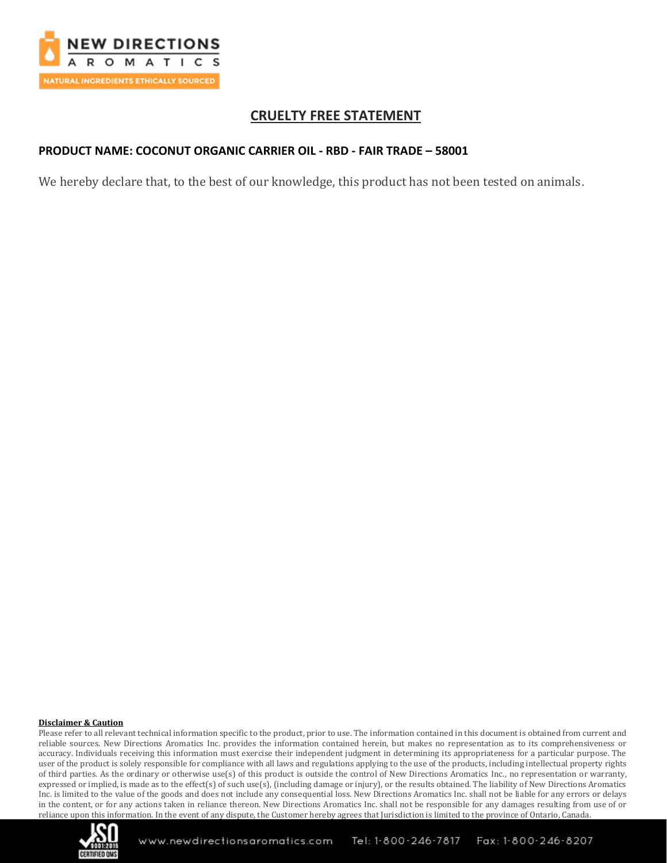

# **CRUELTY FREE STATEMENT**

### **PRODUCT NAME: COCONUT ORGANIC CARRIER OIL - RBD - FAIR TRADE – 58001**

We hereby declare that, to the best of our knowledge, this product has not been tested on animals.

#### **Disclaimer & Caution**

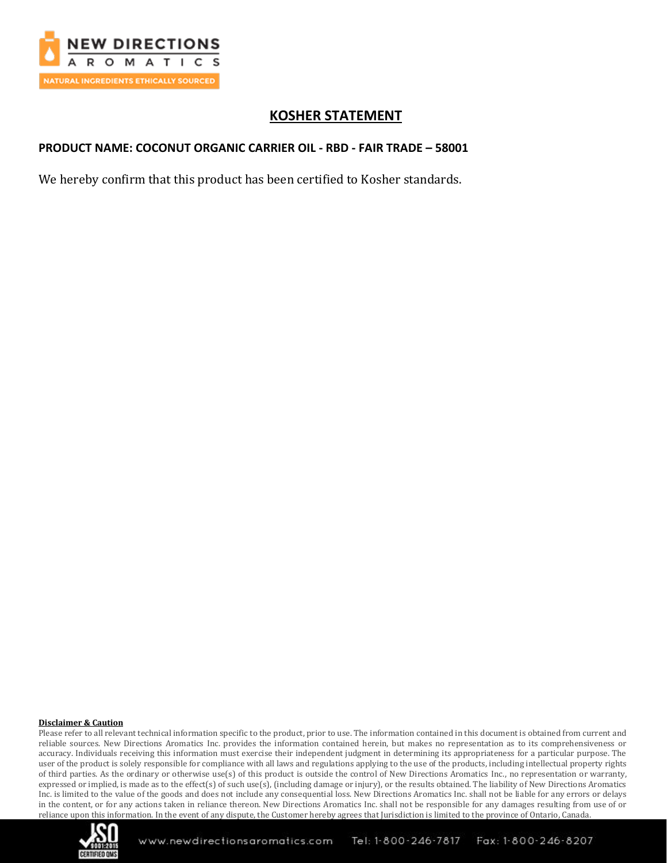

# **KOSHER STATEMENT**

## **PRODUCT NAME: COCONUT ORGANIC CARRIER OIL - RBD - FAIR TRADE – 58001**

We hereby confirm that this product has been certified to Kosher standards.

#### **Disclaimer & Caution**

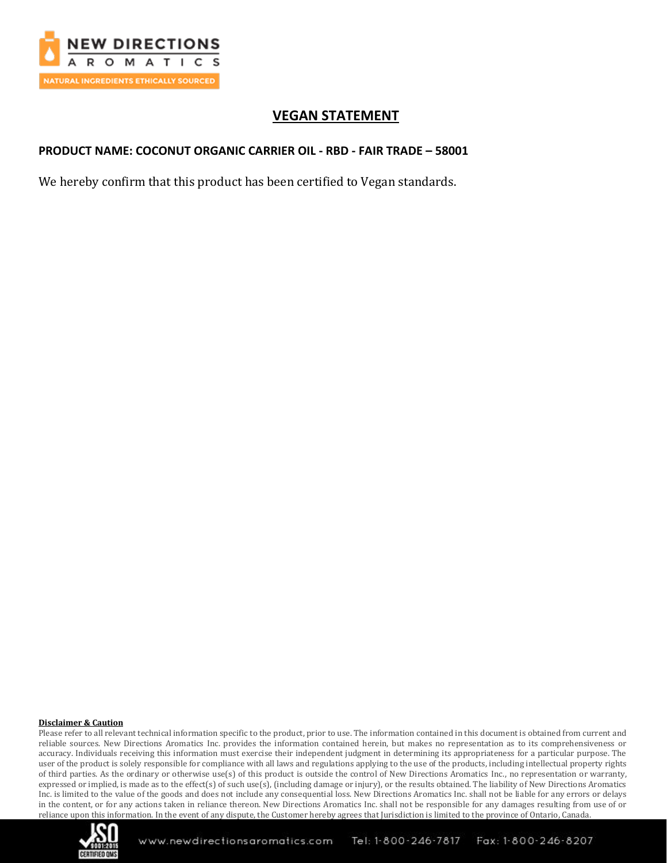

# **VEGAN STATEMENT**

## **PRODUCT NAME: COCONUT ORGANIC CARRIER OIL - RBD - FAIR TRADE – 58001**

We hereby confirm that this product has been certified to Vegan standards.

#### **Disclaimer & Caution**

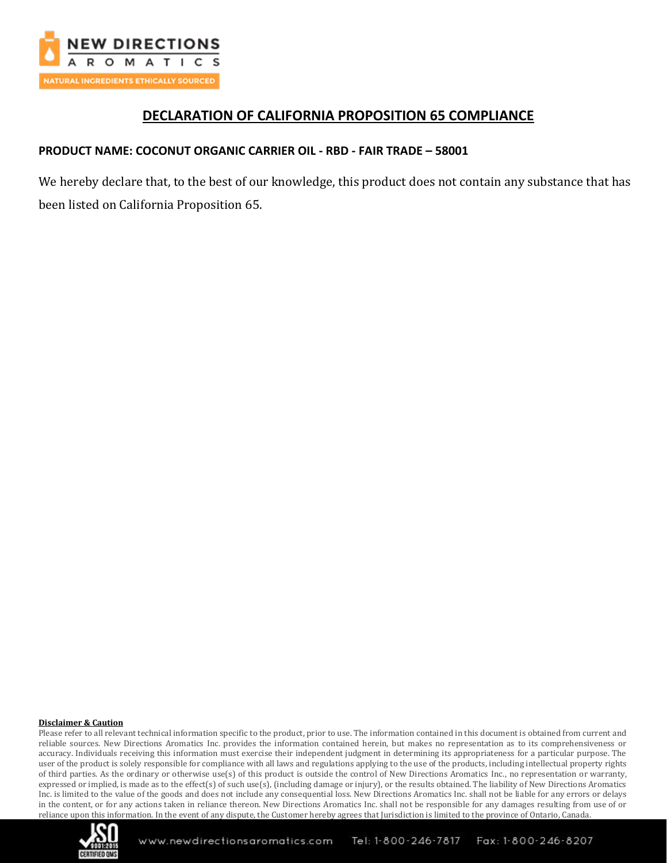

# **DECLARATION OF CALIFORNIA PROPOSITION 65 COMPLIANCE**

### **PRODUCT NAME: COCONUT ORGANIC CARRIER OIL - RBD - FAIR TRADE – 58001**

We hereby declare that, to the best of our knowledge, this product does not contain any substance that has been listed on California Proposition 65.

#### **Disclaimer & Caution**